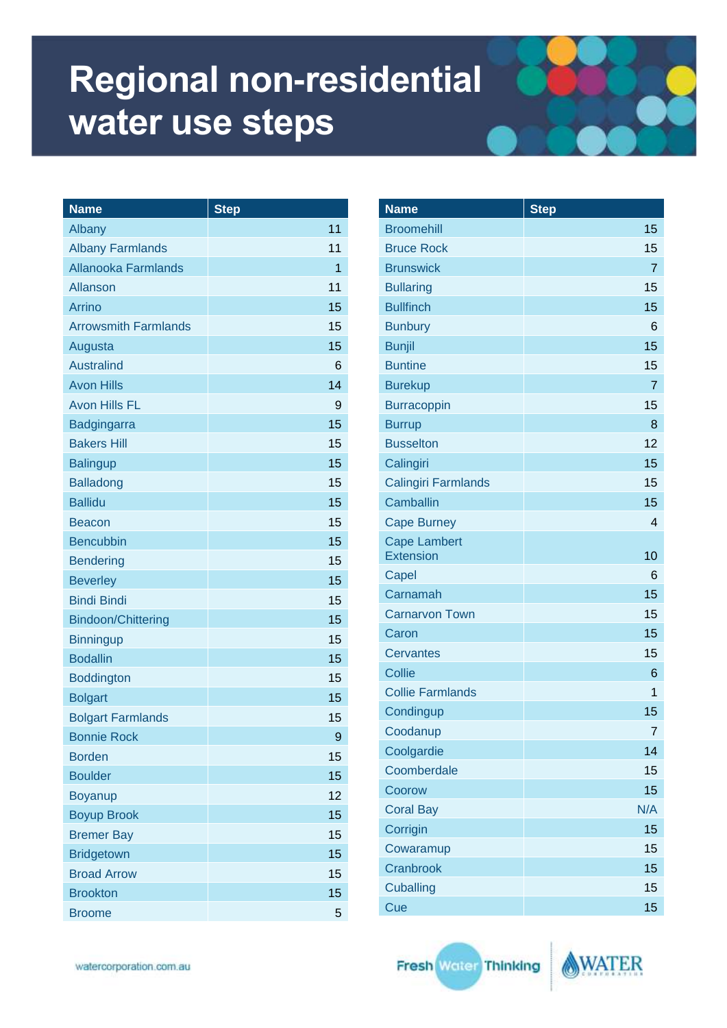| <b>Name</b>                 | <b>Step</b>  |
|-----------------------------|--------------|
| Albany                      | 11           |
| <b>Albany Farmlands</b>     | 11           |
| <b>Allanooka Farmlands</b>  | $\mathbf{1}$ |
| <b>Allanson</b>             | 11           |
| Arrino                      | 15           |
| <b>Arrowsmith Farmlands</b> | 15           |
| Augusta                     | 15           |
| <b>Australind</b>           | 6            |
| <b>Avon Hills</b>           | 14           |
| <b>Avon Hills FL</b>        | 9            |
| Badgingarra                 | 15           |
| <b>Bakers Hill</b>          | 15           |
| <b>Balingup</b>             | 15           |
| <b>Balladong</b>            | 15           |
| <b>Ballidu</b>              | 15           |
| <b>Beacon</b>               | 15           |
| <b>Bencubbin</b>            | 15           |
| <b>Bendering</b>            | 15           |
| <b>Beverley</b>             | 15           |
| <b>Bindi Bindi</b>          | 15           |
| <b>Bindoon/Chittering</b>   | 15           |
| <b>Binningup</b>            | 15           |
| <b>Bodallin</b>             | 15           |
| <b>Boddington</b>           | 15           |
| <b>Bolgart</b>              | 15           |
| <b>Bolgart Farmlands</b>    | 15           |
| <b>Bonnie Rock</b>          | 9            |
| <b>Borden</b>               | 15           |
| <b>Boulder</b>              | 15           |
| <b>Boyanup</b>              | 12           |
| <b>Boyup Brook</b>          | 15           |
| <b>Bremer Bay</b>           | 15           |
| <b>Bridgetown</b>           | 15           |
| <b>Broad Arrow</b>          | 15           |
| <b>Brookton</b>             | 15           |
| <b>Broome</b>               | 5            |

| <b>Name</b>                             | <b>Step</b>             |
|-----------------------------------------|-------------------------|
| <b>Broomehill</b>                       | 15                      |
| <b>Bruce Rock</b>                       | 15                      |
| <b>Brunswick</b>                        | $\overline{7}$          |
| <b>Bullaring</b>                        | 15                      |
| <b>Bullfinch</b>                        | 15                      |
| <b>Bunbury</b>                          | 6                       |
| <b>Bunjil</b>                           | 15                      |
| <b>Buntine</b>                          | 15                      |
| <b>Burekup</b>                          | $\overline{7}$          |
| <b>Burracoppin</b>                      | 15                      |
| <b>Burrup</b>                           | 8                       |
| <b>Busselton</b>                        | 12                      |
| Calingiri                               | 15                      |
| <b>Calingiri Farmlands</b>              | 15                      |
| Camballin                               | 15                      |
| <b>Cape Burney</b>                      | $\overline{\mathbf{4}}$ |
| <b>Cape Lambert</b><br><b>Extension</b> | 10                      |
| Capel                                   | 6                       |
| Carnamah                                | 15                      |
| <b>Carnarvon Town</b>                   | 15                      |
| Caron                                   | 15                      |
| <b>Cervantes</b>                        | 15                      |
| <b>Collie</b>                           | 6                       |
| <b>Collie Farmlands</b>                 | 1                       |
| Condingup                               | 15                      |
| Coodanup                                | 7                       |
| Coolgardie                              | 14                      |
| Coomberdale                             | 15                      |
| Coorow                                  | 15                      |
| <b>Coral Bay</b>                        | N/A                     |
| Corrigin                                | 15                      |
| Cowaramup                               | 15                      |
| Cranbrook                               | 15                      |
| <b>Cuballing</b>                        | 15                      |
| Cue                                     | 15                      |

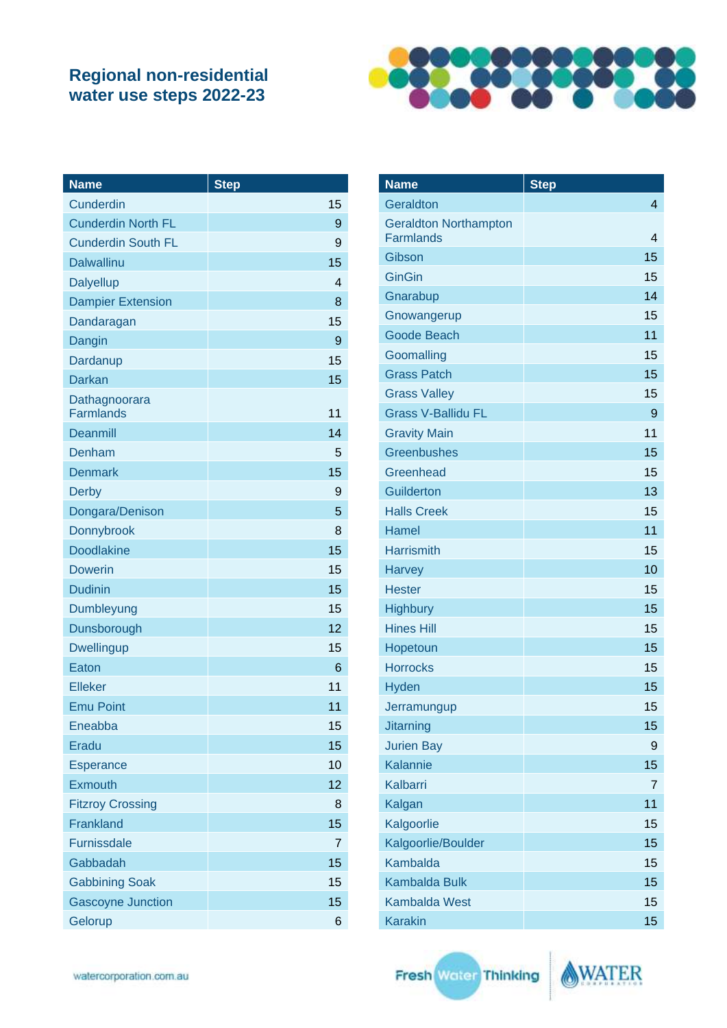

| <b>Name</b>                       | <b>Step</b> |
|-----------------------------------|-------------|
| Cunderdin                         | 15          |
| <b>Cunderdin North FL</b>         | 9           |
| <b>Cunderdin South FL</b>         | 9           |
| <b>Dalwallinu</b>                 | 15          |
| <b>Dalyellup</b>                  | 4           |
| <b>Dampier Extension</b>          | 8           |
| Dandaragan                        | 15          |
| Dangin                            | 9           |
| Dardanup                          | 15          |
| <b>Darkan</b>                     | 15          |
| Dathagnoorara<br><b>Farmlands</b> | 11          |
| <b>Deanmill</b>                   | 14          |
| Denham                            | 5           |
| <b>Denmark</b>                    | 15          |
| <b>Derby</b>                      | 9           |
| Dongara/Denison                   | 5           |
| Donnybrook                        | 8           |
| <b>Doodlakine</b>                 | 15          |
| <b>Dowerin</b>                    | 15          |
| <b>Dudinin</b>                    | 15          |
| Dumbleyung                        | 15          |
| Dunsborough                       | 12          |
| <b>Dwellingup</b>                 | 15          |
| Eaton                             | 6           |
| <b>Elleker</b>                    | 11          |
| <b>Emu Point</b>                  | 11          |
| Eneabba                           | 15          |
| Eradu                             | 15          |
| Esperance                         | 10          |
| Exmouth                           | 12          |
| <b>Fitzroy Crossing</b>           | 8           |
| Frankland                         | 15          |
| <b>Furnissdale</b>                | 7           |
| Gabbadah                          | 15          |
| <b>Gabbining Soak</b>             | 15          |
| <b>Gascoyne Junction</b>          | 15          |
| Gelorup                           | 6           |

| <b>Name</b>                                      | <b>Step</b>    |
|--------------------------------------------------|----------------|
| Geraldton                                        | 4              |
| <b>Geraldton Northampton</b><br><b>Farmlands</b> | 4              |
| Gibson                                           | 15             |
| <b>GinGin</b>                                    | 15             |
| Gnarabup                                         | 14             |
| Gnowangerup                                      | 15             |
| Goode Beach                                      | 11             |
| Goomalling                                       | 15             |
| <b>Grass Patch</b>                               | 15             |
| <b>Grass Valley</b>                              | 15             |
| <b>Grass V-Ballidu FL</b>                        | 9              |
| <b>Gravity Main</b>                              | 11             |
| <b>Greenbushes</b>                               | 15             |
| Greenhead                                        | 15             |
| Guilderton                                       | 13             |
| <b>Halls Creek</b>                               | 15             |
| <b>Hamel</b>                                     | 11             |
| <b>Harrismith</b>                                | 15             |
| <b>Harvey</b>                                    | 10             |
| <b>Hester</b>                                    | 15             |
| <b>Highbury</b>                                  | 15             |
| <b>Hines Hill</b>                                | 15             |
| Hopetoun                                         | 15             |
| <b>Horrocks</b>                                  | 15             |
| Hyden                                            | 15             |
| Jerramungup                                      | 15             |
| <b>Jitarning</b>                                 | 15             |
| <b>Jurien Bay</b>                                | 9              |
| Kalannie                                         | 15             |
| Kalbarri                                         | $\overline{7}$ |
| Kalgan                                           | 11             |
| Kalgoorlie                                       | 15             |
| Kalgoorlie/Boulder                               | 15             |
| <b>Kambalda</b>                                  | 15             |
| <b>Kambalda Bulk</b>                             | 15             |
| <b>Kambalda West</b>                             | 15             |
| <b>Karakin</b>                                   | 15             |
|                                                  |                |

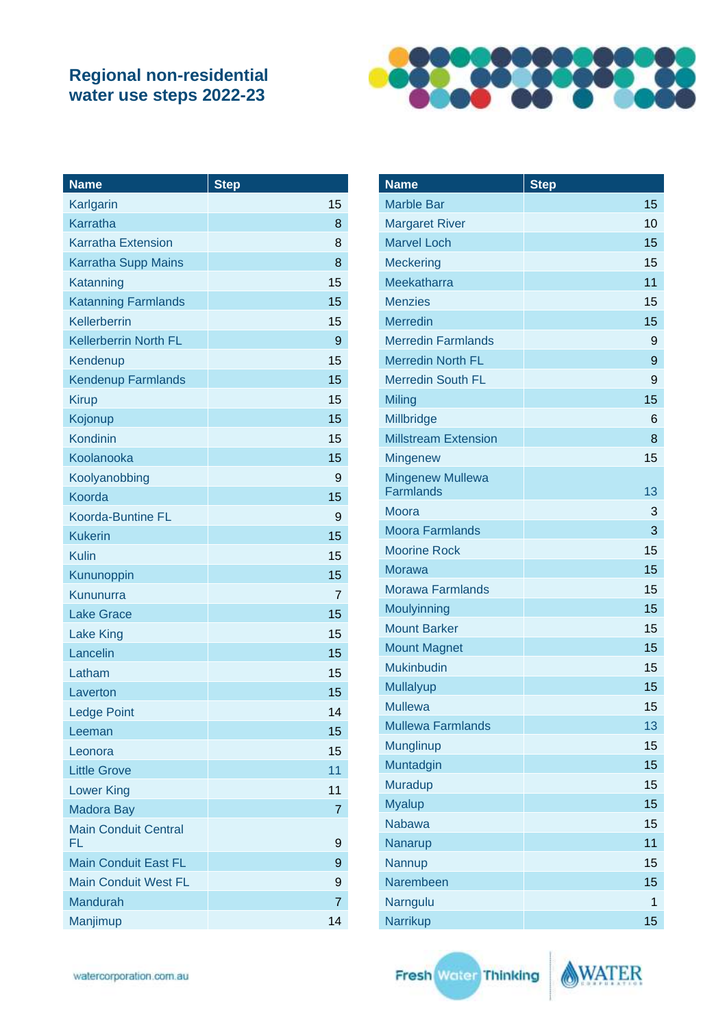

| <b>Name</b>                       | <b>Step</b>    |
|-----------------------------------|----------------|
| Karlgarin                         | 15             |
| Karratha                          | 8              |
| <b>Karratha Extension</b>         | 8              |
| <b>Karratha Supp Mains</b>        | 8              |
| Katanning                         | 15             |
| <b>Katanning Farmlands</b>        | 15             |
| <b>Kellerberrin</b>               | 15             |
| <b>Kellerberrin North FL</b>      | 9              |
| Kendenup                          | 15             |
| <b>Kendenup Farmlands</b>         | 15             |
| <b>Kirup</b>                      | 15             |
| Kojonup                           | 15             |
| Kondinin                          | 15             |
| Koolanooka                        | 15             |
| Koolyanobbing                     | 9              |
| Koorda                            | 15             |
| <b>Koorda-Buntine FL</b>          | 9              |
| <b>Kukerin</b>                    | 15             |
| <b>Kulin</b>                      | 15             |
| Kununoppin                        | 15             |
| Kununurra                         | 7              |
| <b>Lake Grace</b>                 | 15             |
| <b>Lake King</b>                  | 15             |
| Lancelin                          | 15             |
| Latham                            | 15             |
| Laverton                          | 15             |
| <b>Ledge Point</b>                | 14             |
| Leeman                            | 15             |
| Leonora                           | 15             |
| <b>Little Grove</b>               | 11             |
| <b>Lower King</b>                 | 11             |
| <b>Madora Bay</b>                 | 7              |
| <b>Main Conduit Central</b><br>FL | 9              |
| <b>Main Conduit East FL</b>       | 9              |
| <b>Main Conduit West FL</b>       | 9              |
| <b>Mandurah</b>                   | $\overline{7}$ |
| Manjimup                          | 14             |

| <b>Name</b>                                 | <b>Step</b> |
|---------------------------------------------|-------------|
| <b>Marble Bar</b>                           | 15          |
| <b>Margaret River</b>                       | 10          |
| <b>Marvel Loch</b>                          | 15          |
| <b>Meckering</b>                            | 15          |
| Meekatharra                                 | 11          |
| <b>Menzies</b>                              | 15          |
| <b>Merredin</b>                             | 15          |
| <b>Merredin Farmlands</b>                   | 9           |
| <b>Merredin North FL</b>                    | 9           |
| <b>Merredin South FL</b>                    | 9           |
| Miling                                      | 15          |
| Millbridge                                  | 6           |
| <b>Millstream Extension</b>                 | 8           |
| <b>Mingenew</b>                             | 15          |
| <b>Mingenew Mullewa</b><br><b>Farmlands</b> | 13          |
| Moora                                       | 3           |
| <b>Moora Farmlands</b>                      | 3           |
| <b>Moorine Rock</b>                         | 15          |
| Morawa                                      | 15          |
| Morawa Farmlands                            | 15          |
| Moulyinning                                 | 15          |
| <b>Mount Barker</b>                         | 15          |
| <b>Mount Magnet</b>                         | 15          |
| <b>Mukinbudin</b>                           | 15          |
| <b>Mullalyup</b>                            | 15          |
| Mullewa                                     | 15          |
| <b>Mullewa Farmlands</b>                    | 13          |
| Munglinup                                   | 15          |
| Muntadgin                                   | 15          |
| Muradup                                     | 15          |
| <b>Myalup</b>                               | 15          |
| <b>Nabawa</b>                               | 15          |
| Nanarup                                     | 11          |
| Nannup                                      | 15          |
| Narembeen                                   | 15          |
| Narngulu                                    | 1           |
| Narrikup                                    | 15          |

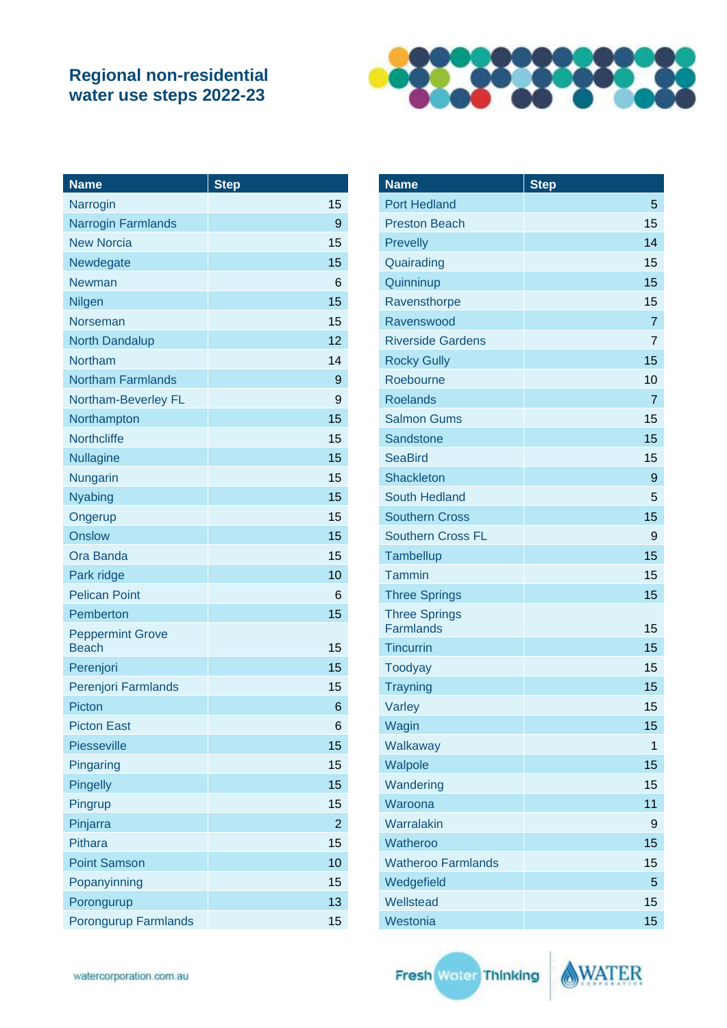

| <b>Name</b>                             | <b>Step</b>    |
|-----------------------------------------|----------------|
| Narrogin                                | 15             |
| <b>Narrogin Farmlands</b>               | 9              |
| <b>New Norcia</b>                       | 15             |
| Newdegate                               | 15             |
| Newman                                  | 6              |
| Nilgen                                  | 15             |
| Norseman                                | 15             |
| <b>North Dandalup</b>                   | 12             |
| <b>Northam</b>                          | 14             |
| <b>Northam Farmlands</b>                | 9              |
| Northam-Beverley FL                     | 9              |
| Northampton                             | 15             |
| <b>Northcliffe</b>                      | 15             |
| <b>Nullagine</b>                        | 15             |
| Nungarin                                | 15             |
| <b>Nyabing</b>                          | 15             |
| Ongerup                                 | 15             |
| <b>Onslow</b>                           | 15             |
| Ora Banda                               | 15             |
| Park ridge                              | 10             |
| <b>Pelican Point</b>                    | 6              |
| Pemberton                               | 15             |
| <b>Peppermint Grove</b><br><b>Beach</b> | 15             |
| Perenjori                               | 15             |
| Perenjori Farmlands                     | 15             |
| Picton                                  | 6              |
| <b>Picton East</b>                      | 6              |
| <b>Piesseville</b>                      | 15             |
| Pingaring                               | 15             |
| <b>Pingelly</b>                         | 15             |
| Pingrup                                 | 15             |
| Pinjarra                                | $\overline{2}$ |
| <b>Pithara</b>                          | 15             |
| <b>Point Samson</b>                     | 10             |
| Popanyinning                            | 15             |
| Porongurup                              | 13             |
| Porongurup Farmlands                    | 15             |

| <b>Name</b>                              | <b>Step</b>    |
|------------------------------------------|----------------|
| <b>Port Hedland</b>                      | 5              |
| <b>Preston Beach</b>                     | 15             |
| Prevelly                                 | 14             |
| Quairading                               | 15             |
| Quinninup                                | 15             |
| Ravensthorpe                             | 15             |
| Ravenswood                               | $\overline{7}$ |
| <b>Riverside Gardens</b>                 | 7              |
| <b>Rocky Gully</b>                       | 15             |
| Roebourne                                | 10             |
| <b>Roelands</b>                          | 7              |
| <b>Salmon Gums</b>                       | 15             |
| Sandstone                                | 15             |
| <b>SeaBird</b>                           | 15             |
| <b>Shackleton</b>                        | 9              |
| South Hedland                            | 5              |
| <b>Southern Cross</b>                    | 15             |
| <b>Southern Cross FL</b>                 | 9              |
| Tambellup                                | 15             |
| Tammin                                   | 15             |
| <b>Three Springs</b>                     | 15             |
| <b>Three Springs</b><br><b>Farmlands</b> | 15             |
| <b>Tincurrin</b>                         | 15             |
| <b>Toodyay</b>                           | 15             |
| <b>Trayning</b>                          | 15             |
| Varley                                   | 15             |
| Wagin                                    | 15             |
| Walkaway                                 | 1              |
| Walpole                                  | 15             |
| Wandering                                | 15             |
| Waroona                                  | 11             |
| Warralakin                               | 9              |
| Watheroo                                 | 15             |
| <b>Watheroo Farmlands</b>                | 15             |
| Wedgefield                               | 5              |
| Wellstead                                | 15             |
| Westonia                                 | 15             |